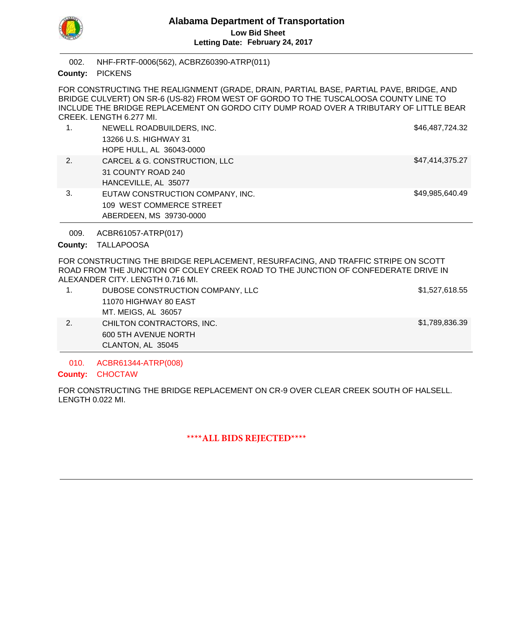

NHF-FRTF-0006(562), ACBRZ60390-ATRP(011) 002.

County: PICKENS

FOR CONSTRUCTING THE REALIGNMENT (GRADE, DRAIN, PARTIAL BASE, PARTIAL PAVE, BRIDGE, AND BRIDGE CULVERT) ON SR-6 (US-82) FROM WEST OF GORDO TO THE TUSCALOOSA COUNTY LINE TO INCLUDE THE BRIDGE REPLACEMENT ON GORDO CITY DUMP ROAD OVER A TRIBUTARY OF LITTLE BEAR CREEK. LENGTH 6.277 MI.

| $\mathbf{1}$ . | NEWELL ROADBUILDERS, INC.        | \$46,487,724.32 |
|----------------|----------------------------------|-----------------|
|                | 13266 U.S. HIGHWAY 31            |                 |
|                | HOPE HULL, AL 36043-0000         |                 |
| 2.             | CARCEL & G. CONSTRUCTION, LLC    | \$47,414,375.27 |
|                | 31 COUNTY ROAD 240               |                 |
|                | HANCEVILLE, AL 35077             |                 |
| 3.             | EUTAW CONSTRUCTION COMPANY, INC. | \$49,985,640.49 |
|                | 109 WEST COMMERCE STREET         |                 |
|                | ABERDEEN, MS 39730-0000          |                 |

ACBR61057-ATRP(017) 009.

County: TALLAPOOSA

FOR CONSTRUCTING THE BRIDGE REPLACEMENT, RESURFACING, AND TRAFFIC STRIPE ON SCOTT ROAD FROM THE JUNCTION OF COLEY CREEK ROAD TO THE JUNCTION OF CONFEDERATE DRIVE IN ALEXANDER CITY. LENGTH 0.716 MI.

|    | CLANTON, AL 35045                |                |
|----|----------------------------------|----------------|
|    | 600 5TH AVENUE NORTH             |                |
| 2. | CHILTON CONTRACTORS, INC.        | \$1,789,836.39 |
|    | MT. MEIGS, AL 36057              |                |
|    | 11070 HIGHWAY 80 EAST            |                |
|    | DUBOSE CONSTRUCTION COMPANY, LLC | \$1,527,618.55 |

ACBR61344-ATRP(008) 010.

County: CHOCTAW

FOR CONSTRUCTING THE BRIDGE REPLACEMENT ON CR-9 OVER CLEAR CREEK SOUTH OF HALSELL. LENGTH 0.022 MI.

**\*\*\*\*ALL BIDS REJECTED\*\*\*\***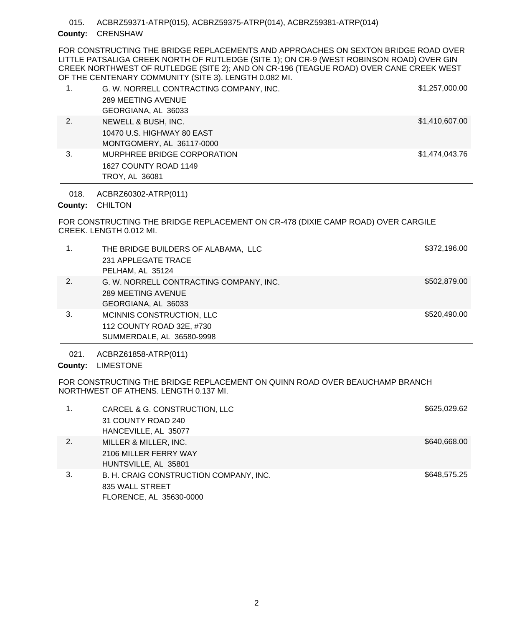ACBRZ59371-ATRP(015), ACBRZ59375-ATRP(014), ACBRZ59381-ATRP(014) 015.

## County: **CRENSHAW**

FOR CONSTRUCTING THE BRIDGE REPLACEMENTS AND APPROACHES ON SEXTON BRIDGE ROAD OVER LITTLE PATSALIGA CREEK NORTH OF RUTLEDGE (SITE 1); ON CR-9 (WEST ROBINSON ROAD) OVER GIN CREEK NORTHWEST OF RUTLEDGE (SITE 2); AND ON CR-196 (TEAGUE ROAD) OVER CANE CREEK WEST OF THE CENTENARY COMMUNITY (SITE 3). LENGTH 0.082 MI.

| 1. | G. W. NORRELL CONTRACTING COMPANY, INC.<br>289 MEETING AVENUE<br>GEORGIANA, AL 36033 | \$1,257,000.00 |
|----|--------------------------------------------------------------------------------------|----------------|
| 2. | NEWELL & BUSH, INC.<br>10470 U.S. HIGHWAY 80 EAST<br>MONTGOMERY, AL 36117-0000       | \$1,410,607.00 |
| 3. | MURPHREE BRIDGE CORPORATION<br>1627 COUNTY ROAD 1149<br>TROY, AL 36081               | \$1,474,043.76 |

ACBRZ60302-ATRP(011) 018.

County: CHILTON

FOR CONSTRUCTING THE BRIDGE REPLACEMENT ON CR-478 (DIXIE CAMP ROAD) OVER CARGILE CREEK. LENGTH 0.012 MI.

| 1. | THE BRIDGE BUILDERS OF ALABAMA, LLC<br>231 APPLEGATE TRACE<br>PELHAM, AL 35124       | \$372,196.00 |
|----|--------------------------------------------------------------------------------------|--------------|
| 2. | G. W. NORRELL CONTRACTING COMPANY, INC.<br>289 MEETING AVENUE<br>GEORGIANA, AL 36033 | \$502,879.00 |
| 3. | MCINNIS CONSTRUCTION, LLC<br>112 COUNTY ROAD 32E, #730<br>SUMMERDALE, AL 36580-9998  | \$520,490.00 |

ACBRZ61858-ATRP(011) 021.

County: LIMESTONE

FOR CONSTRUCTING THE BRIDGE REPLACEMENT ON QUINN ROAD OVER BEAUCHAMP BRANCH NORTHWEST OF ATHENS. LENGTH 0.137 MI.

| 1. | CARCEL & G. CONSTRUCTION, LLC<br>31 COUNTY ROAD 240 | \$625,029.62 |
|----|-----------------------------------------------------|--------------|
|    | HANCEVILLE, AL 35077                                |              |
| 2. | MILLER & MILLER, INC.                               | \$640,668.00 |
|    | 2106 MILLER FERRY WAY                               |              |
|    | HUNTSVILLE, AL 35801                                |              |
| 3. | B. H. CRAIG CONSTRUCTION COMPANY, INC.              | \$648,575.25 |
|    | 835 WALL STREET                                     |              |
|    | FLORENCE, AL 35630-0000                             |              |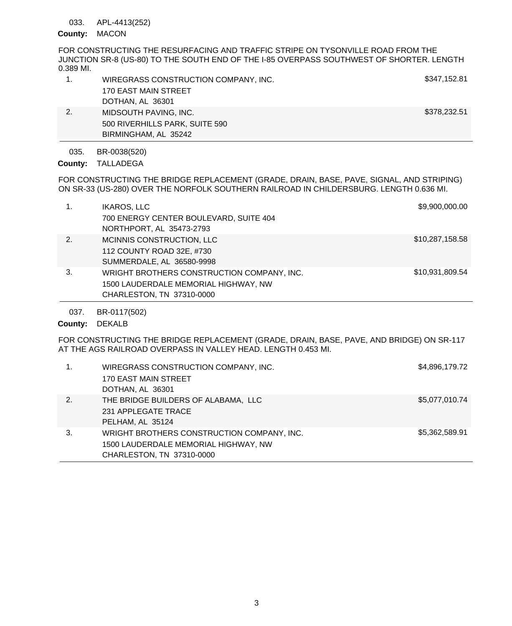## 033. APL-4413(252)

### County: MACON

FOR CONSTRUCTING THE RESURFACING AND TRAFFIC STRIPE ON TYSONVILLE ROAD FROM THE JUNCTION SR-8 (US-80) TO THE SOUTH END OF THE I-85 OVERPASS SOUTHWEST OF SHORTER. LENGTH 0.389 MI.

|    | WIREGRASS CONSTRUCTION COMPANY, INC. | \$347,152.81 |
|----|--------------------------------------|--------------|
|    | 170 EAST MAIN STREET                 |              |
|    | DOTHAN, AL 36301                     |              |
| 2. | MIDSOUTH PAVING, INC.                | \$378,232.51 |
|    | 500 RIVERHILLS PARK, SUITE 590       |              |
|    | BIRMINGHAM, AL 35242                 |              |

BR-0038(520) 035.

County: TALLADEGA

FOR CONSTRUCTING THE BRIDGE REPLACEMENT (GRADE, DRAIN, BASE, PAVE, SIGNAL, AND STRIPING) ON SR-33 (US-280) OVER THE NORFOLK SOUTHERN RAILROAD IN CHILDERSBURG. LENGTH 0.636 MI.

|    | <b>IKAROS, LLC</b><br>700 ENERGY CENTER BOULEVARD, SUITE 404<br>NORTHPORT, AL 35473-2793                        | \$9,900,000.00  |
|----|-----------------------------------------------------------------------------------------------------------------|-----------------|
| 2. | MCINNIS CONSTRUCTION, LLC<br>112 COUNTY ROAD 32E, #730<br>SUMMERDALE, AL 36580-9998                             | \$10,287,158.58 |
| 3. | WRIGHT BROTHERS CONSTRUCTION COMPANY, INC.<br>1500 LAUDERDALE MEMORIAL HIGHWAY, NW<br>CHARLESTON, TN 37310-0000 | \$10,931,809.54 |

BR-0117(502) 037.

# County: DEKALB

FOR CONSTRUCTING THE BRIDGE REPLACEMENT (GRADE, DRAIN, BASE, PAVE, AND BRIDGE) ON SR-117 AT THE AGS RAILROAD OVERPASS IN VALLEY HEAD. LENGTH 0.453 MI.

| $\mathbf{1}$ . | WIREGRASS CONSTRUCTION COMPANY, INC.<br><b>170 EAST MAIN STREET</b><br>DOTHAN, AL 36301                         | \$4,896,179.72 |
|----------------|-----------------------------------------------------------------------------------------------------------------|----------------|
| 2.             | THE BRIDGE BUILDERS OF ALABAMA, LLC<br>231 APPLEGATE TRACE<br>PELHAM, AL 35124                                  | \$5,077,010.74 |
| 3.             | WRIGHT BROTHERS CONSTRUCTION COMPANY, INC.<br>1500 LAUDERDALE MEMORIAL HIGHWAY, NW<br>CHARLESTON, TN 37310-0000 | \$5,362,589.91 |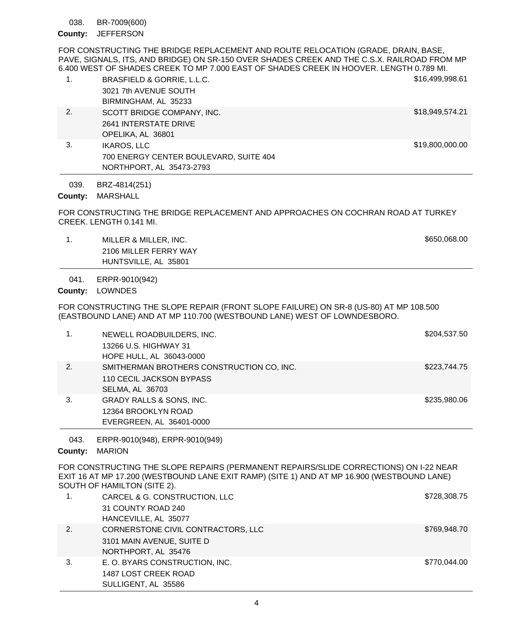BR-7009(600) 038.

County: JEFFERSON

FOR CONSTRUCTING THE BRIDGE REPLACEMENT AND ROUTE RELOCATION (GRADE, DRAIN, BASE, PAVE, SIGNALS, ITS, AND BRIDGE) ON SR-150 OVER SHADES CREEK AND THE C.S.X. RAILROAD FROM MP 6.400 WEST OF SHADES CREEK TO MP 7.000 EAST OF SHADES CREEK IN HOOVER. LENGTH 0.789 MI.

| 1. | BRASFIELD & GORRIE, L.L.C.             | \$16,499,998.61 |
|----|----------------------------------------|-----------------|
|    | 3021 7th AVENUE SOUTH                  |                 |
|    | BIRMINGHAM, AL 35233                   |                 |
| 2. | SCOTT BRIDGE COMPANY, INC.             | \$18,949,574.21 |
|    | 2641 INTERSTATE DRIVE                  |                 |
|    | OPELIKA, AL 36801                      |                 |
| 3. | <b>IKAROS, LLC</b>                     | \$19,800,000.00 |
|    | 700 ENERGY CENTER BOULEVARD, SUITE 404 |                 |
|    | NORTHPORT, AL 35473-2793               |                 |

BRZ-4814(251) 039.

County: MARSHALL

FOR CONSTRUCTING THE BRIDGE REPLACEMENT AND APPROACHES ON COCHRAN ROAD AT TURKEY CREEK. LENGTH 0.141 MI.

1. MILLER & MILLER, INC. **1. All and Struck and Struck and Struck and Struck and Struck and Struck and Struck and Struck and Struck and Struck and Struck and Struck and Struck and Struck and Struck and Struck and Struck an** 2106 MILLER FERRY WAY HUNTSVILLE, AL 35801

ERPR-9010(942) 041.

County: LOWNDES

FOR CONSTRUCTING THE SLOPE REPAIR (FRONT SLOPE FAILURE) ON SR-8 (US-80) AT MP 108.500 (EASTBOUND LANE) AND AT MP 110.700 (WESTBOUND LANE) WEST OF LOWNDESBORO.

|    | NEWELL ROADBUILDERS, INC.<br>13266 U.S. HIGHWAY 31<br>HOPE HULL, AL 36043-0000                  | \$204,537.50 |
|----|-------------------------------------------------------------------------------------------------|--------------|
| 2. | SMITHERMAN BROTHERS CONSTRUCTION CO, INC.<br>110 CECIL JACKSON BYPASS<br><b>SELMA, AL 36703</b> | \$223,744.75 |
| 3. | <b>GRADY RALLS &amp; SONS, INC.</b><br>12364 BROOKLYN ROAD<br>EVERGREEN, AL 36401-0000          | \$235,980.06 |

ERPR-9010(948), ERPR-9010(949) 043.

County: MARION

FOR CONSTRUCTING THE SLOPE REPAIRS (PERMANENT REPAIRS/SLIDE CORRECTIONS) ON I-22 NEAR EXIT 16 AT MP 17.200 (WESTBOUND LANE EXIT RAMP) (SITE 1) AND AT MP 16.900 (WESTBOUND LANE) SOUTH OF HAMILTON (SITE 2).

|    | CARCEL & G. CONSTRUCTION, LLC<br>31 COUNTY ROAD 240<br>HANCEVILLE, AL 35077            | \$728,308.75 |
|----|----------------------------------------------------------------------------------------|--------------|
| 2. | CORNERSTONE CIVIL CONTRACTORS, LLC<br>3101 MAIN AVENUE, SUITE D<br>NORTHPORT, AL 35476 | \$769,948.70 |
| 3. | E. O. BYARS CONSTRUCTION, INC.<br>1487 LOST CREEK ROAD<br>SULLIGENT, AL 35586          | \$770,044.00 |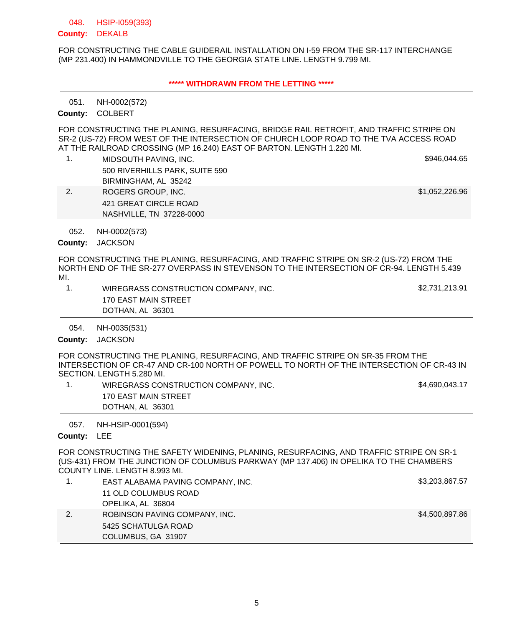#### HSIP-I059(393) 048.

### County: DEKALB

FOR CONSTRUCTING THE CABLE GUIDERAIL INSTALLATION ON I-59 FROM THE SR-117 INTERCHANGE (MP 231.400) IN HAMMONDVILLE TO THE GEORGIA STATE LINE. LENGTH 9.799 MI.

### **\*\*\*\*\* WITHDRAWN FROM THE LETTING \*\*\*\*\***

NH-0002(572) 051.

COLBERT **County:**

FOR CONSTRUCTING THE PLANING, RESURFACING, BRIDGE RAIL RETROFIT, AND TRAFFIC STRIPE ON SR-2 (US-72) FROM WEST OF THE INTERSECTION OF CHURCH LOOP ROAD TO THE TVA ACCESS ROAD AT THE RAILROAD CROSSING (MP 16.240) EAST OF BARTON. LENGTH 1.220 MI.

1. MIDSOUTH PAVING, INC. **6946,044.65** NO. 500 RIVERHILLS PARK, SUITE 590 BIRMINGHAM, AL 35242

421 GREAT CIRCLE ROAD NASHVILLE, TN 37228-0000

2. ROGERS GROUP, INC. **1992.** The state of the state of the state of the state of the state of the state of the state of the state of the state of the state of the state of the state of the state of the state of the state

NH-0002(573) 052.

County: JACKSON

FOR CONSTRUCTING THE PLANING, RESURFACING, AND TRAFFIC STRIPE ON SR-2 (US-72) FROM THE NORTH END OF THE SR-277 OVERPASS IN STEVENSON TO THE INTERSECTION OF CR-94. LENGTH 5.439 MI.

1. WIREGRASS CONSTRUCTION COMPANY, INC. \$2,731,213.91 170 EAST MAIN STREET DOTHAN, AL 36301

NH-0035(531) 054.

County: JACKSON

FOR CONSTRUCTING THE PLANING, RESURFACING, AND TRAFFIC STRIPE ON SR-35 FROM THE INTERSECTION OF CR-47 AND CR-100 NORTH OF POWELL TO NORTH OF THE INTERSECTION OF CR-43 IN SECTION. LENGTH 5.280 MI.

1. WIREGRASS CONSTRUCTION COMPANY, INC. \$4,690,043.17 170 EAST MAIN STREET DOTHAN, AL 36301

NH-HSIP-0001(594) 057.

County: LEE

FOR CONSTRUCTING THE SAFETY WIDENING, PLANING, RESURFACING, AND TRAFFIC STRIPE ON SR-1 (US-431) FROM THE JUNCTION OF COLUMBUS PARKWAY (MP 137.406) IN OPELIKA TO THE CHAMBERS COUNTY LINE. LENGTH 8.993 MI.

|    | EAST ALABAMA PAVING COMPANY, INC. | \$3,203,867.57 |
|----|-----------------------------------|----------------|
|    | 11 OLD COLUMBUS ROAD              |                |
|    | OPELIKA, AL 36804                 |                |
| 2. | ROBINSON PAVING COMPANY, INC.     | \$4,500,897.86 |
|    | 5425 SCHATULGA ROAD               |                |
|    | COLUMBUS, GA 31907                |                |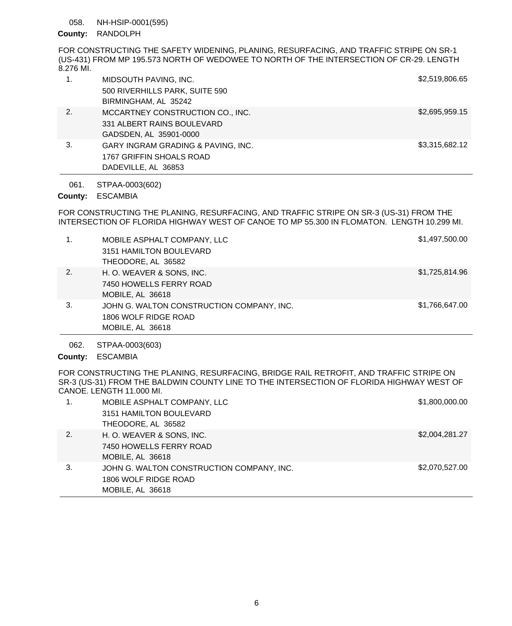#### NH-HSIP-0001(595) 058.

## County: RANDOLPH

FOR CONSTRUCTING THE SAFETY WIDENING, PLANING, RESURFACING, AND TRAFFIC STRIPE ON SR-1 (US-431) FROM MP 195.573 NORTH OF WEDOWEE TO NORTH OF THE INTERSECTION OF CR-29. LENGTH 8.276 MI.

|    | MIDSOUTH PAVING, INC.              | \$2,519,806.65 |
|----|------------------------------------|----------------|
|    | 500 RIVERHILLS PARK, SUITE 590     |                |
|    | BIRMINGHAM, AL 35242               |                |
| 2. | MCCARTNEY CONSTRUCTION CO., INC.   | \$2,695,959.15 |
|    | 331 ALBERT RAINS BOULEVARD         |                |
|    | GADSDEN, AL 35901-0000             |                |
| 3. | GARY INGRAM GRADING & PAVING, INC. | \$3,315,682.12 |
|    | 1767 GRIFFIN SHOALS ROAD           |                |
|    | DADEVILLE, AL 36853                |                |

#### STPAA-0003(602) 061.

## ESCAMBIA **County:**

FOR CONSTRUCTING THE PLANING, RESURFACING, AND TRAFFIC STRIPE ON SR-3 (US-31) FROM THE INTERSECTION OF FLORIDA HIGHWAY WEST OF CANOE TO MP 55.300 IN FLOMATON. LENGTH 10.299 MI.

| 1. | MOBILE ASPHALT COMPANY, LLC               | \$1,497,500.00 |
|----|-------------------------------------------|----------------|
|    | 3151 HAMILTON BOULEVARD                   |                |
|    | THEODORE, AL 36582                        |                |
| 2. | H. O. WEAVER & SONS, INC.                 | \$1,725,814.96 |
|    | 7450 HOWELLS FERRY ROAD                   |                |
|    | MOBILE, AL 36618                          |                |
| 3. | JOHN G. WALTON CONSTRUCTION COMPANY, INC. | \$1,766,647.00 |
|    | 1806 WOLF RIDGE ROAD                      |                |
|    | MOBILE, AL 36618                          |                |

STPAA-0003(603) 062.

ESCAMBIA **County:**

FOR CONSTRUCTING THE PLANING, RESURFACING, BRIDGE RAIL RETROFIT, AND TRAFFIC STRIPE ON SR-3 (US-31) FROM THE BALDWIN COUNTY LINE TO THE INTERSECTION OF FLORIDA HIGHWAY WEST OF CANOE. LENGTH 11.000 MI.

|    | MOBILE ASPHALT COMPANY, LLC               | \$1,800,000.00 |
|----|-------------------------------------------|----------------|
|    | 3151 HAMILTON BOULEVARD                   |                |
|    | THEODORE, AL 36582                        |                |
| 2. | H. O. WEAVER & SONS, INC.                 | \$2,004,281.27 |
|    | 7450 HOWELLS FERRY ROAD                   |                |
|    | MOBILE, AL 36618                          |                |
| 3. | JOHN G. WALTON CONSTRUCTION COMPANY, INC. | \$2,070,527.00 |
|    | 1806 WOLF RIDGE ROAD                      |                |
|    | MOBILE, AL 36618                          |                |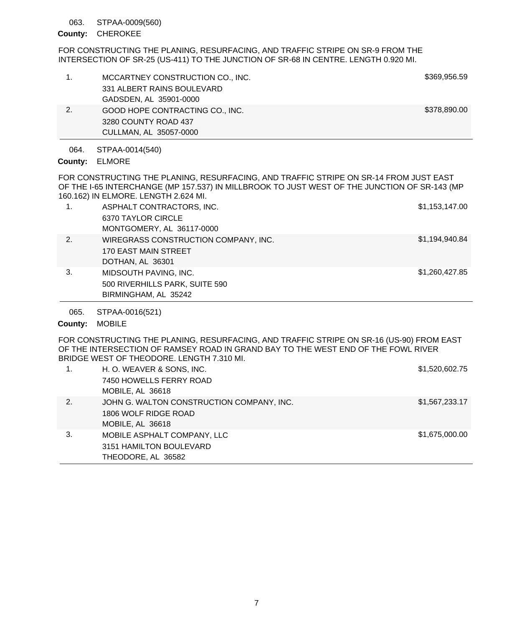#### STPAA-0009(560) 063.

### County: CHEROKEE

FOR CONSTRUCTING THE PLANING, RESURFACING, AND TRAFFIC STRIPE ON SR-9 FROM THE INTERSECTION OF SR-25 (US-411) TO THE JUNCTION OF SR-68 IN CENTRE. LENGTH 0.920 MI.

|    | MCCARTNEY CONSTRUCTION CO., INC. | \$369,956.59 |
|----|----------------------------------|--------------|
|    | 331 ALBERT RAINS BOULEVARD       |              |
|    | GADSDEN, AL 35901-0000           |              |
| 2. | GOOD HOPE CONTRACTING CO., INC.  | \$378,890.00 |
|    | 3280 COUNTY ROAD 437             |              |
|    | CULLMAN, AL 35057-0000           |              |

STPAA-0014(540) 064.

# ELMORE **County:**

FOR CONSTRUCTING THE PLANING, RESURFACING, AND TRAFFIC STRIPE ON SR-14 FROM JUST EAST OF THE I-65 INTERCHANGE (MP 157.537) IN MILLBROOK TO JUST WEST OF THE JUNCTION OF SR-143 (MP 160.162) IN ELMORE. LENGTH 2.624 MI.

| 1. | ASPHALT CONTRACTORS, INC.            | \$1,153,147.00 |
|----|--------------------------------------|----------------|
|    | 6370 TAYLOR CIRCLE                   |                |
|    | MONTGOMERY, AL 36117-0000            |                |
| 2. | WIREGRASS CONSTRUCTION COMPANY, INC. | \$1,194,940.84 |
|    | 170 EAST MAIN STREET                 |                |
|    | DOTHAN, AL 36301                     |                |
| 3. | MIDSOUTH PAVING, INC.                | \$1,260,427.85 |
|    | 500 RIVERHILLS PARK, SUITE 590       |                |
|    | BIRMINGHAM, AL 35242                 |                |
|    |                                      |                |

STPAA-0016(521) 065.

### County: MOBILE

FOR CONSTRUCTING THE PLANING, RESURFACING, AND TRAFFIC STRIPE ON SR-16 (US-90) FROM EAST OF THE INTERSECTION OF RAMSEY ROAD IN GRAND BAY TO THE WEST END OF THE FOWL RIVER BRIDGE WEST OF THEODORE. LENGTH 7.310 MI.

| 1. | H. O. WEAVER & SONS, INC.<br>7450 HOWELLS FERRY ROAD<br>MOBILE, AL 36618              | \$1,520,602.75 |
|----|---------------------------------------------------------------------------------------|----------------|
| 2. | JOHN G. WALTON CONSTRUCTION COMPANY, INC.<br>1806 WOLF RIDGE ROAD<br>MOBILE, AL 36618 | \$1,567,233.17 |
| 3. | MOBILE ASPHALT COMPANY, LLC<br>3151 HAMILTON BOULEVARD<br>THEODORE, AL 36582          | \$1,675,000.00 |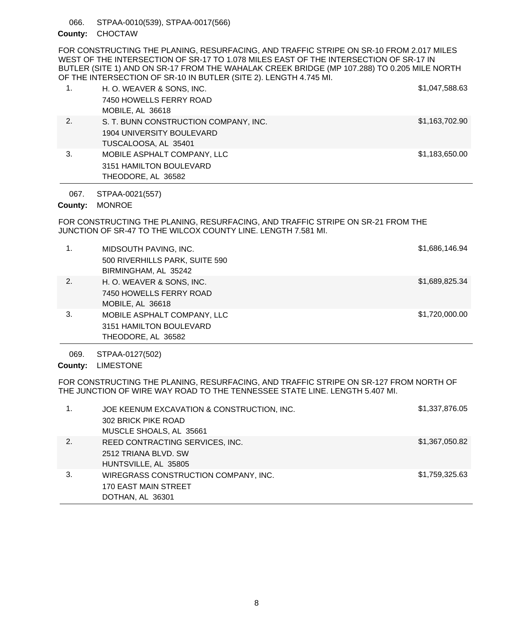STPAA-0010(539), STPAA-0017(566) 066.

## County: CHOCTAW

FOR CONSTRUCTING THE PLANING, RESURFACING, AND TRAFFIC STRIPE ON SR-10 FROM 2.017 MILES WEST OF THE INTERSECTION OF SR-17 TO 1.078 MILES EAST OF THE INTERSECTION OF SR-17 IN BUTLER (SITE 1) AND ON SR-17 FROM THE WAHALAK CREEK BRIDGE (MP 107.288) TO 0.205 MILE NORTH OF THE INTERSECTION OF SR-10 IN BUTLER (SITE 2). LENGTH 4.745 MI.

| 1. | H. O. WEAVER & SONS, INC.<br>7450 HOWELLS FERRY ROAD<br>MOBILE, AL 36618                   | \$1,047,588.63 |
|----|--------------------------------------------------------------------------------------------|----------------|
| 2. | S. T. BUNN CONSTRUCTION COMPANY, INC.<br>1904 UNIVERSITY BOULEVARD<br>TUSCALOOSA, AL 35401 | \$1,163,702.90 |
| 3. | MOBILE ASPHALT COMPANY, LLC<br>3151 HAMILTON BOULEVARD<br>THEODORE, AL 36582               | \$1,183,650.00 |

STPAA-0021(557) 067.

County: MONROE

FOR CONSTRUCTING THE PLANING, RESURFACING, AND TRAFFIC STRIPE ON SR-21 FROM THE JUNCTION OF SR-47 TO THE WILCOX COUNTY LINE. LENGTH 7.581 MI.

| 1. | MIDSOUTH PAVING, INC.<br>500 RIVERHILLS PARK, SUITE 590<br>BIRMINGHAM, AL 35242 | \$1,686,146.94 |
|----|---------------------------------------------------------------------------------|----------------|
| 2. | H. O. WEAVER & SONS, INC.<br>7450 HOWELLS FERRY ROAD<br>MOBILE, AL 36618        | \$1,689,825.34 |
| 3. | MOBILE ASPHALT COMPANY, LLC<br>3151 HAMILTON BOULEVARD<br>THEODORE, AL 36582    | \$1,720,000.00 |

STPAA-0127(502) 069.

County: LIMESTONE

FOR CONSTRUCTING THE PLANING, RESURFACING, AND TRAFFIC STRIPE ON SR-127 FROM NORTH OF THE JUNCTION OF WIRE WAY ROAD TO THE TENNESSEE STATE LINE. LENGTH 5.407 MI.

| 1. | JOE KEENUM EXCAVATION & CONSTRUCTION, INC. | \$1,337,876.05 |
|----|--------------------------------------------|----------------|
|    | 302 BRICK PIKE ROAD                        |                |
|    | MUSCLE SHOALS, AL 35661                    |                |
| 2. | REED CONTRACTING SERVICES, INC.            | \$1,367,050.82 |
|    | 2512 TRIANA BLVD, SW                       |                |
|    | HUNTSVILLE, AL 35805                       |                |
| 3. | WIREGRASS CONSTRUCTION COMPANY, INC.       | \$1,759,325.63 |
|    | <b>170 EAST MAIN STREET</b>                |                |
|    | DOTHAN, AL 36301                           |                |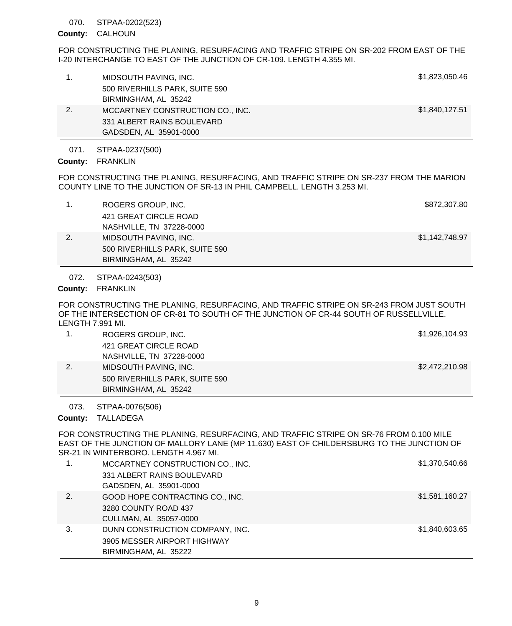#### STPAA-0202(523) 070.

## CALHOUN **County:**

FOR CONSTRUCTING THE PLANING, RESURFACING AND TRAFFIC STRIPE ON SR-202 FROM EAST OF THE I-20 INTERCHANGE TO EAST OF THE JUNCTION OF CR-109. LENGTH 4.355 MI.

| 1. | MIDSOUTH PAVING, INC.            | \$1,823,050.46 |
|----|----------------------------------|----------------|
|    | 500 RIVERHILLS PARK, SUITE 590   |                |
|    | BIRMINGHAM, AL 35242             |                |
| 2. | MCCARTNEY CONSTRUCTION CO., INC. | \$1,840,127.51 |
|    | 331 ALBERT RAINS BOULEVARD       |                |
|    | GADSDEN, AL 35901-0000           |                |
|    |                                  |                |

STPAA-0237(500) 071.

County: FRANKLIN

FOR CONSTRUCTING THE PLANING, RESURFACING, AND TRAFFIC STRIPE ON SR-237 FROM THE MARION COUNTY LINE TO THE JUNCTION OF SR-13 IN PHIL CAMPBELL. LENGTH 3.253 MI.

|    | ROGERS GROUP, INC.             | \$872,307.80   |
|----|--------------------------------|----------------|
|    | 421 GREAT CIRCLE ROAD          |                |
|    | NASHVILLE, TN 37228-0000       |                |
| 2. | MIDSOUTH PAVING, INC.          | \$1,142,748.97 |
|    | 500 RIVERHILLS PARK, SUITE 590 |                |
|    | BIRMINGHAM, AL 35242           |                |

STPAA-0243(503) 072.

# County: FRANKLIN

FOR CONSTRUCTING THE PLANING, RESURFACING, AND TRAFFIC STRIPE ON SR-243 FROM JUST SOUTH OF THE INTERSECTION OF CR-81 TO SOUTH OF THE JUNCTION OF CR-44 SOUTH OF RUSSELLVILLE. LENGTH 7.991 MI.

| ROGERS GROUP, INC.             | \$1,926,104.93 |
|--------------------------------|----------------|
| 421 GREAT CIRCLE ROAD          |                |
| NASHVILLE, TN 37228-0000       |                |
| MIDSOUTH PAVING, INC.          | \$2,472,210.98 |
| 500 RIVERHILLS PARK, SUITE 590 |                |
| BIRMINGHAM, AL 35242           |                |

#### STPAA-0076(506) 073.

County: TALLADEGA

FOR CONSTRUCTING THE PLANING, RESURFACING, AND TRAFFIC STRIPE ON SR-76 FROM 0.100 MILE EAST OF THE JUNCTION OF MALLORY LANE (MP 11.630) EAST OF CHILDERSBURG TO THE JUNCTION OF SR-21 IN WINTERBORO. LENGTH 4.967 MI.

| 1. | MCCARTNEY CONSTRUCTION CO., INC. | \$1,370,540.66 |
|----|----------------------------------|----------------|
|    | 331 ALBERT RAINS BOULEVARD       |                |
|    | GADSDEN, AL 35901-0000           |                |
| 2. | GOOD HOPE CONTRACTING CO., INC.  | \$1,581,160.27 |
|    | 3280 COUNTY ROAD 437             |                |
|    | CULLMAN, AL 35057-0000           |                |
| 3. | DUNN CONSTRUCTION COMPANY, INC.  | \$1,840,603.65 |
|    | 3905 MESSER AIRPORT HIGHWAY      |                |
|    | BIRMINGHAM, AL 35222             |                |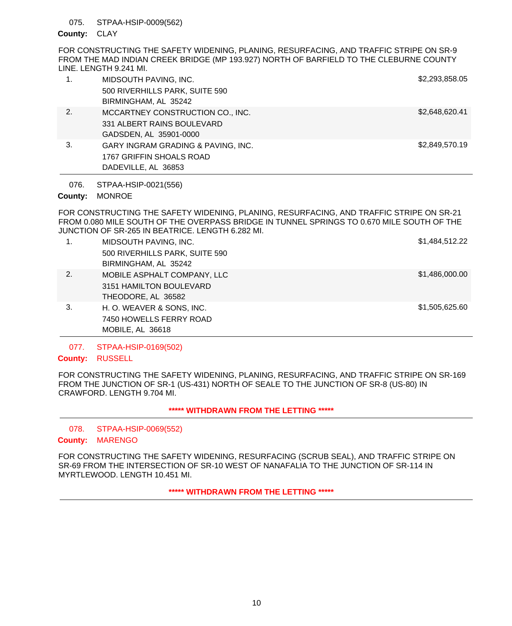#### STPAA-HSIP-0009(562) 075.

### County: CLAY

FOR CONSTRUCTING THE SAFETY WIDENING, PLANING, RESURFACING, AND TRAFFIC STRIPE ON SR-9 FROM THE MAD INDIAN CREEK BRIDGE (MP 193.927) NORTH OF BARFIELD TO THE CLEBURNE COUNTY LINE. LENGTH 9.241 MI.

| $\mathbf{1}$ . | MIDSOUTH PAVING, INC.              | \$2,293,858.05 |
|----------------|------------------------------------|----------------|
|                | 500 RIVERHILLS PARK, SUITE 590     |                |
|                | BIRMINGHAM, AL 35242               |                |
| 2.             | MCCARTNEY CONSTRUCTION CO., INC.   | \$2,648,620.41 |
|                | 331 ALBERT RAINS BOULEVARD         |                |
|                | GADSDEN, AL 35901-0000             |                |
| 3.             | GARY INGRAM GRADING & PAVING, INC. | \$2,849,570.19 |
|                | 1767 GRIFFIN SHOALS ROAD           |                |
|                | DADEVILLE, AL 36853                |                |

STPAA-HSIP-0021(556) 076.

## County: MONROE

FOR CONSTRUCTING THE SAFETY WIDENING, PLANING, RESURFACING, AND TRAFFIC STRIPE ON SR-21 FROM 0.080 MILE SOUTH OF THE OVERPASS BRIDGE IN TUNNEL SPRINGS TO 0.670 MILE SOUTH OF THE JUNCTION OF SR-265 IN BEATRICE. LENGTH 6.282 MI.

| 1. | MIDSOUTH PAVING, INC.<br>500 RIVERHILLS PARK, SUITE 590<br>BIRMINGHAM, AL 35242 | \$1,484,512.22 |
|----|---------------------------------------------------------------------------------|----------------|
| 2. | MOBILE ASPHALT COMPANY, LLC<br>3151 HAMILTON BOULEVARD<br>THEODORE, AL 36582    | \$1,486,000.00 |
| 3. | H. O. WEAVER & SONS, INC.<br>7450 HOWELLS FERRY ROAD<br>MOBILE, AL 36618        | \$1,505,625.60 |

#### STPAA-HSIP-0169(502) 077.

### County: RUSSELL

FOR CONSTRUCTING THE SAFETY WIDENING, PLANING, RESURFACING, AND TRAFFIC STRIPE ON SR-169 FROM THE JUNCTION OF SR-1 (US-431) NORTH OF SEALE TO THE JUNCTION OF SR-8 (US-80) IN CRAWFORD. LENGTH 9.704 MI.

### **\*\*\*\*\* WITHDRAWN FROM THE LETTING \*\*\*\*\***

#### STPAA-HSIP-0069(552) 078.

### County: MARENGO

FOR CONSTRUCTING THE SAFETY WIDENING, RESURFACING (SCRUB SEAL), AND TRAFFIC STRIPE ON SR-69 FROM THE INTERSECTION OF SR-10 WEST OF NANAFALIA TO THE JUNCTION OF SR-114 IN MYRTLEWOOD. LENGTH 10.451 MI.

**\*\*\*\*\* WITHDRAWN FROM THE LETTING \*\*\*\*\***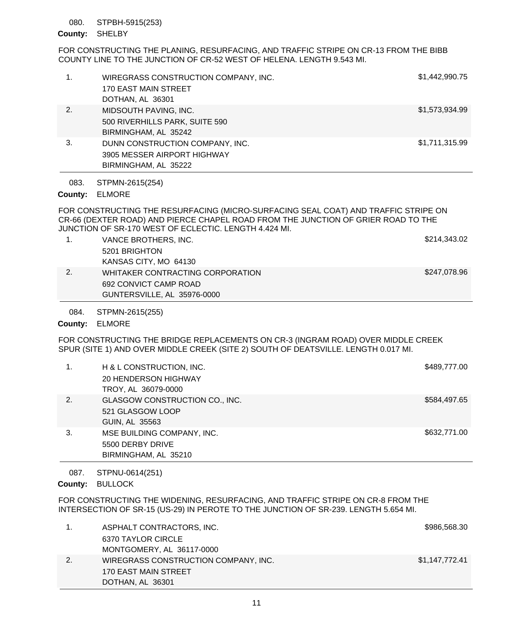#### STPBH-5915(253) 080.

## County: SHELBY

FOR CONSTRUCTING THE PLANING, RESURFACING, AND TRAFFIC STRIPE ON CR-13 FROM THE BIBB COUNTY LINE TO THE JUNCTION OF CR-52 WEST OF HELENA. LENGTH 9.543 MI.

| 1.   | WIREGRASS CONSTRUCTION COMPANY, INC.<br>170 EAST MAIN STREET<br>DOTHAN, AL 36301       | \$1,442,990.75 |
|------|----------------------------------------------------------------------------------------|----------------|
| 2.   | MIDSOUTH PAVING, INC.<br>500 RIVERHILLS PARK, SUITE 590<br>BIRMINGHAM, AL 35242        | \$1,573,934.99 |
| 3.   | DUNN CONSTRUCTION COMPANY, INC.<br>3905 MESSER AIRPORT HIGHWAY<br>BIRMINGHAM, AL 35222 | \$1,711,315.99 |
| 083. | STPMN-2615(254)                                                                        |                |

ELMORE **County:**

FOR CONSTRUCTING THE RESURFACING (MICRO-SURFACING SEAL COAT) AND TRAFFIC STRIPE ON CR-66 (DEXTER ROAD) AND PIERCE CHAPEL ROAD FROM THE JUNCTION OF GRIER ROAD TO THE JUNCTION OF SR-170 WEST OF ECLECTIC. LENGTH 4.424 MI.

|    | VANCE BROTHERS, INC.             | \$214,343.02 |
|----|----------------------------------|--------------|
|    | 5201 BRIGHTON                    |              |
|    | KANSAS CITY, MO 64130            |              |
| 2. | WHITAKER CONTRACTING CORPORATION | \$247,078.96 |
|    | 692 CONVICT CAMP ROAD            |              |
|    | GUNTERSVILLE, AL 35976-0000      |              |

STPMN-2615(255) 084.

### ELMORE **County:**

FOR CONSTRUCTING THE BRIDGE REPLACEMENTS ON CR-3 (INGRAM ROAD) OVER MIDDLE CREEK SPUR (SITE 1) AND OVER MIDDLE CREEK (SITE 2) SOUTH OF DEATSVILLE. LENGTH 0.017 MI.

|    | H & L CONSTRUCTION, INC.<br>20 HENDERSON HIGHWAY<br>TROY, AL 36079-0000 | \$489,777.00 |
|----|-------------------------------------------------------------------------|--------------|
| 2. | GLASGOW CONSTRUCTION CO., INC.<br>521 GLASGOW LOOP<br>GUIN, AL 35563    | \$584,497.65 |
| 3. | MSE BUILDING COMPANY, INC.<br>5500 DERBY DRIVE<br>BIRMINGHAM, AL 35210  | \$632,771.00 |

STPNU-0614(251) 087.

County: BULLOCK

FOR CONSTRUCTING THE WIDENING, RESURFACING, AND TRAFFIC STRIPE ON CR-8 FROM THE INTERSECTION OF SR-15 (US-29) IN PEROTE TO THE JUNCTION OF SR-239. LENGTH 5.654 MI.

| ASPHALT CONTRACTORS, INC.            | \$986,568.30   |
|--------------------------------------|----------------|
| 6370 TAYLOR CIRCLE                   |                |
| MONTGOMERY, AL 36117-0000            |                |
| WIREGRASS CONSTRUCTION COMPANY, INC. | \$1,147,772.41 |
| 170 EAST MAIN STREET                 |                |
| DOTHAN, AL 36301                     |                |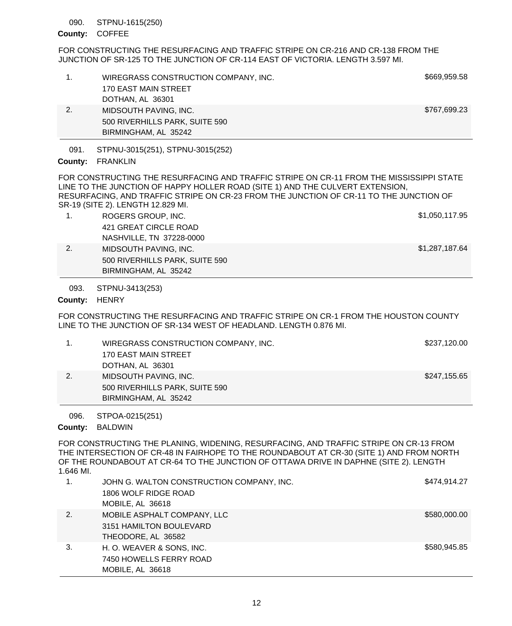#### STPNU-1615(250) 090.

### County: COFFEE

FOR CONSTRUCTING THE RESURFACING AND TRAFFIC STRIPE ON CR-216 AND CR-138 FROM THE JUNCTION OF SR-125 TO THE JUNCTION OF CR-114 EAST OF VICTORIA. LENGTH 3.597 MI.

| 091.<br>County: | BIRMINGHAM, AL 35242<br>STPNU-3015(251), STPNU-3015(252)<br><b>FRANKLIN</b> |              |
|-----------------|-----------------------------------------------------------------------------|--------------|
| 2.              | MIDSOUTH PAVING, INC.<br>500 RIVERHILLS PARK, SUITE 590                     | \$767,699.23 |
|                 | <b>170 EAST MAIN STREET</b><br>DOTHAN, AL 36301                             |              |
|                 | WIREGRASS CONSTRUCTION COMPANY, INC.                                        | \$669,959.58 |

FOR CONSTRUCTING THE RESURFACING AND TRAFFIC STRIPE ON CR-11 FROM THE MISSISSIPPI STATE LINE TO THE JUNCTION OF HAPPY HOLLER ROAD (SITE 1) AND THE CULVERT EXTENSION, RESURFACING, AND TRAFFIC STRIPE ON CR-23 FROM THE JUNCTION OF CR-11 TO THE JUNCTION OF SR-19 (SITE 2). LENGTH 12.829 MI.

|    | ROGERS GROUP, INC.             | \$1,050,117.95 |
|----|--------------------------------|----------------|
|    | 421 GREAT CIRCLE ROAD          |                |
|    | NASHVILLE, TN 37228-0000       |                |
| 2. | MIDSOUTH PAVING. INC.          | \$1,287,187.64 |
|    | 500 RIVERHILLS PARK, SUITE 590 |                |
|    | BIRMINGHAM, AL 35242           |                |

STPNU-3413(253) 093.

County: HENRY

FOR CONSTRUCTING THE RESURFACING AND TRAFFIC STRIPE ON CR-1 FROM THE HOUSTON COUNTY LINE TO THE JUNCTION OF SR-134 WEST OF HEADLAND. LENGTH 0.876 MI.

|    | WIREGRASS CONSTRUCTION COMPANY, INC. | \$237,120.00 |
|----|--------------------------------------|--------------|
|    | 170 EAST MAIN STREET                 |              |
|    | DOTHAN, AL 36301                     |              |
| 2. | MIDSOUTH PAVING, INC.                | \$247,155.65 |
|    | 500 RIVERHILLS PARK, SUITE 590       |              |
|    | BIRMINGHAM, AL 35242                 |              |

STPOA-0215(251) 096.

County: BALDWIN

FOR CONSTRUCTING THE PLANING, WIDENING, RESURFACING, AND TRAFFIC STRIPE ON CR-13 FROM THE INTERSECTION OF CR-48 IN FAIRHOPE TO THE ROUNDABOUT AT CR-30 (SITE 1) AND FROM NORTH OF THE ROUNDABOUT AT CR-64 TO THE JUNCTION OF OTTAWA DRIVE IN DAPHNE (SITE 2). LENGTH 1.646 MI.

| 1. | JOHN G. WALTON CONSTRUCTION COMPANY, INC. | \$474,914.27 |
|----|-------------------------------------------|--------------|
|    | 1806 WOLF RIDGE ROAD                      |              |
|    | MOBILE, AL 36618                          |              |
| 2. | MOBILE ASPHALT COMPANY, LLC               | \$580,000.00 |
|    | 3151 HAMILTON BOULEVARD                   |              |
|    | THEODORE, AL 36582                        |              |
| 3. | H. O. WEAVER & SONS, INC.                 | \$580,945.85 |
|    | 7450 HOWELLS FERRY ROAD                   |              |
|    | MOBILE, AL 36618                          |              |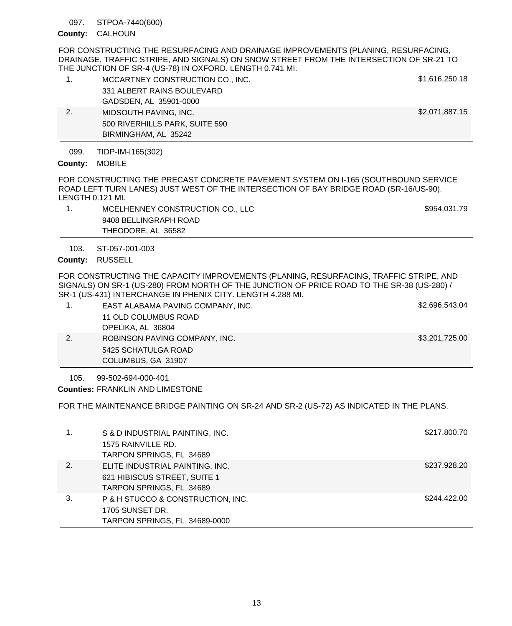#### STPOA-7440(600) 097.

## CALHOUN **County:**

FOR CONSTRUCTING THE RESURFACING AND DRAINAGE IMPROVEMENTS (PLANING, RESURFACING, DRAINAGE, TRAFFIC STRIPE, AND SIGNALS) ON SNOW STREET FROM THE INTERSECTION OF SR-21 TO THE JUNCTION OF SR-4 (US-78) IN OXFORD. LENGTH 0.741 MI.

| 1.   | MCCARTNEY CONSTRUCTION CO., INC. | \$1,616,250.18 |
|------|----------------------------------|----------------|
|      | 331 ALBERT RAINS BOULEVARD       |                |
|      | GADSDEN, AL 35901-0000           |                |
| 2.   | MIDSOUTH PAVING, INC.            | \$2,071,887.15 |
|      | 500 RIVERHILLS PARK, SUITE 590   |                |
|      | BIRMINGHAM, AL 35242             |                |
| 099. | TIDP-IM-I165(302)                |                |

County: MOBILE

FOR CONSTRUCTING THE PRECAST CONCRETE PAVEMENT SYSTEM ON I-165 (SOUTHBOUND SERVICE ROAD LEFT TURN LANES) JUST WEST OF THE INTERSECTION OF BAY BRIDGE ROAD (SR-16/US-90). LENGTH 0.121 MI.

1. MCELHENNEY CONSTRUCTION CO., LLC \$954,031.79 9408 BELLINGRAPH ROAD THEODORE, AL 36582

ST-057-001-003 103.

County: RUSSELL

FOR CONSTRUCTING THE CAPACITY IMPROVEMENTS (PLANING, RESURFACING, TRAFFIC STRIPE, AND SIGNALS) ON SR-1 (US-280) FROM NORTH OF THE JUNCTION OF PRICE ROAD TO THE SR-38 (US-280) / SR-1 (US-431) INTERCHANGE IN PHENIX CITY. LENGTH 4.288 MI.

| EAST ALABAMA PAVING COMPANY, INC.<br>11 OLD COLUMBUS ROAD<br>OPELIKA, AL 36804 | \$2,696,543.04 |
|--------------------------------------------------------------------------------|----------------|
| ROBINSON PAVING COMPANY, INC.<br>5425 SCHATULGA ROAD<br>COLUMBUS, GA 31907     | \$3,201,725.00 |

99-502-694-000-401 105.

FRANKLIN AND LIMESTONE **Counties:**

FOR THE MAINTENANCE BRIDGE PAINTING ON SR-24 AND SR-2 (US-72) AS INDICATED IN THE PLANS.

| 1. | S & D INDUSTRIAL PAINTING, INC.<br>1575 RAINVILLE RD.<br>TARPON SPRINGS, FL 34689           | \$217,800.70 |
|----|---------------------------------------------------------------------------------------------|--------------|
| 2. | ELITE INDUSTRIAL PAINTING, INC.<br>621 HIBISCUS STREET, SUITE 1<br>TARPON SPRINGS, FL 34689 | \$237,928.20 |
| 3. | P & H STUCCO & CONSTRUCTION, INC.<br>1705 SUNSET DR.<br>TARPON SPRINGS, FL 34689-0000       | \$244,422,00 |